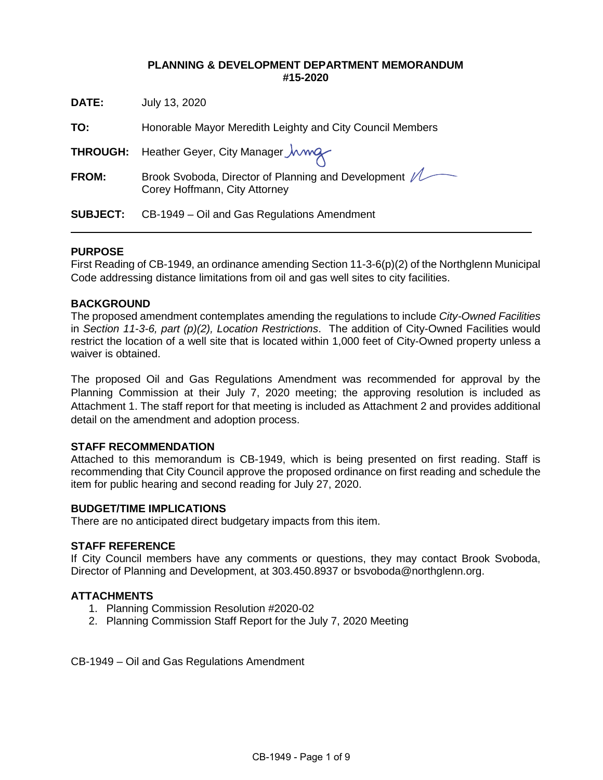### **PLANNING & DEVELOPMENT DEPARTMENT MEMORANDUM #15-2020**

| DATE:           | July 13, 2020                                                                          |  |
|-----------------|----------------------------------------------------------------------------------------|--|
| TO:             | Honorable Mayor Meredith Leighty and City Council Members                              |  |
|                 | THROUGH: Heather Geyer, City Manager <i>Jwwg</i>                                       |  |
| <b>FROM:</b>    | Brook Svoboda, Director of Planning and Development /<br>Corey Hoffmann, City Attorney |  |
| <b>SUBJECT:</b> | CB-1949 – Oil and Gas Regulations Amendment                                            |  |

### **PURPOSE**

First Reading of CB-1949, an ordinance amending Section 11-3-6(p)(2) of the Northglenn Municipal Code addressing distance limitations from oil and gas well sites to city facilities.

### **BACKGROUND**

The proposed amendment contemplates amending the regulations to include *City-Owned Facilities*  in *Section 11-3-6, part (p)(2), Location Restrictions*. The addition of City-Owned Facilities would restrict the location of a well site that is located within 1,000 feet of City-Owned property unless a waiver is obtained.

The proposed Oil and Gas Regulations Amendment was recommended for approval by the Planning Commission at their July 7, 2020 meeting; the approving resolution is included as Attachment 1. The staff report for that meeting is included as Attachment 2 and provides additional detail on the amendment and adoption process.

### **STAFF RECOMMENDATION**

Attached to this memorandum is CB-1949, which is being presented on first reading. Staff is recommending that City Council approve the proposed ordinance on first reading and schedule the item for public hearing and second reading for July 27, 2020.

#### **BUDGET/TIME IMPLICATIONS**

There are no anticipated direct budgetary impacts from this item.

#### **STAFF REFERENCE**

If City Council members have any comments or questions, they may contact Brook Svoboda, Director of Planning and Development, at 303.450.8937 or bsvoboda@northglenn.org.

#### **ATTACHMENTS**

- 1. Planning Commission Resolution #2020-02
- 2. Planning Commission Staff Report for the July 7, 2020 Meeting

CB-1949 – Oil and Gas Regulations Amendment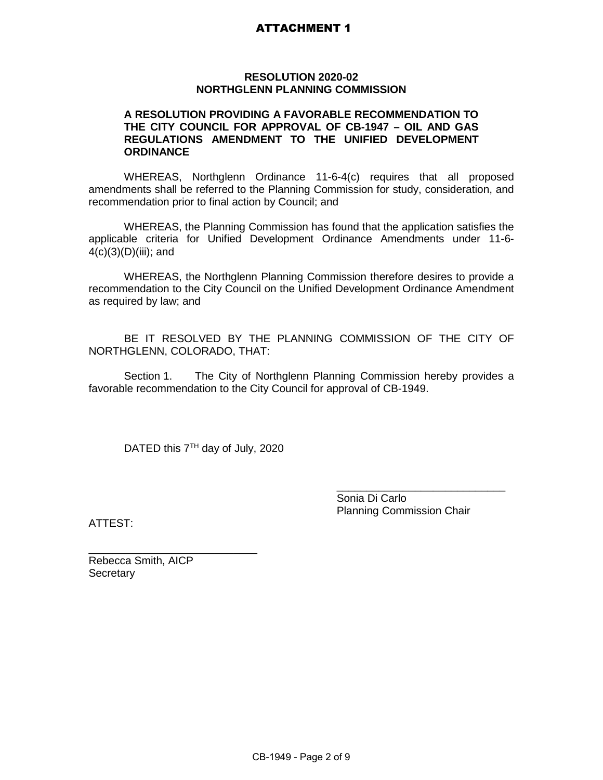# ATTACHMENT 1

#### **RESOLUTION 2020-02 NORTHGLENN PLANNING COMMISSION**

### **A RESOLUTION PROVIDING A FAVORABLE RECOMMENDATION TO THE CITY COUNCIL FOR APPROVAL OF CB-1947 – OIL AND GAS REGULATIONS AMENDMENT TO THE UNIFIED DEVELOPMENT ORDINANCE**

WHEREAS, Northglenn Ordinance 11-6-4(c) requires that all proposed amendments shall be referred to the Planning Commission for study, consideration, and recommendation prior to final action by Council; and

WHEREAS, the Planning Commission has found that the application satisfies the applicable criteria for Unified Development Ordinance Amendments under 11-6- 4(c)(3)(D)(iii); and

WHEREAS, the Northglenn Planning Commission therefore desires to provide a recommendation to the City Council on the Unified Development Ordinance Amendment as required by law; and

BE IT RESOLVED BY THE PLANNING COMMISSION OF THE CITY OF NORTHGLENN, COLORADO, THAT:

Section 1. The City of Northglenn Planning Commission hereby provides a favorable recommendation to the City Council for approval of CB-1949.

DATED this 7<sup>TH</sup> day of July, 2020

\_\_\_\_\_\_\_\_\_\_\_\_\_\_\_\_\_\_\_\_\_\_\_\_\_\_\_\_ Sonia Di Carlo Planning Commission Chair

ATTEST:

\_\_\_\_\_\_\_\_\_\_\_\_\_\_\_\_\_\_\_\_\_\_\_\_\_\_\_\_ Rebecca Smith, AICP **Secretary**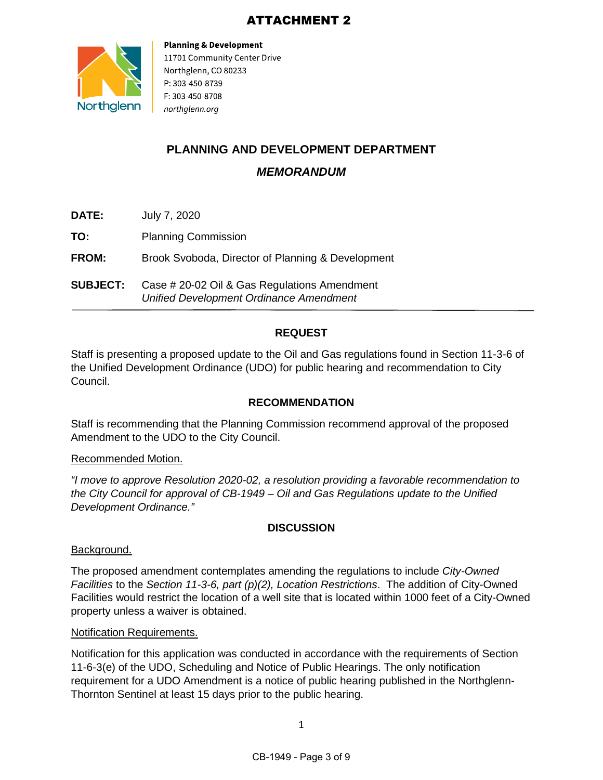# ATTACHMENT 2



**Planning & Development** 11701 Community Center Drive Northglenn, CO 80233 P: 303-450-8739 F: 303-450-8708 northglenn.org

# **PLANNING AND DEVELOPMENT DEPARTMENT**

*MEMORANDUM*

- **DATE:** July 7, 2020
- **TO:** Planning Commission

**FROM:** Brook Svoboda, Director of Planning & Development

**SUBJECT:** Case # 20-02 Oil & Gas Regulations Amendment *Unified Development Ordinance Amendment*

# **REQUEST**

Staff is presenting a proposed update to the Oil and Gas regulations found in Section 11-3-6 of the Unified Development Ordinance (UDO) for public hearing and recommendation to City Council.

# **RECOMMENDATION**

Staff is recommending that the Planning Commission recommend approval of the proposed Amendment to the UDO to the City Council.

# Recommended Motion.

*"I move to approve Resolution 2020-02, a resolution providing a favorable recommendation to the City Council for approval of CB-1949 – Oil and Gas Regulations update to the Unified Development Ordinance."*

# **DISCUSSION**

# Background.

The proposed amendment contemplates amending the regulations to include *City-Owned Facilities* to the *Section 11-3-6, part (p)(2), Location Restrictions*. The addition of City-Owned Facilities would restrict the location of a well site that is located within 1000 feet of a City-Owned property unless a waiver is obtained.

# Notification Requirements.

Notification for this application was conducted in accordance with the requirements of Section 11-6-3(e) of the UDO, Scheduling and Notice of Public Hearings. The only notification requirement for a UDO Amendment is a notice of public hearing published in the Northglenn-Thornton Sentinel at least 15 days prior to the public hearing.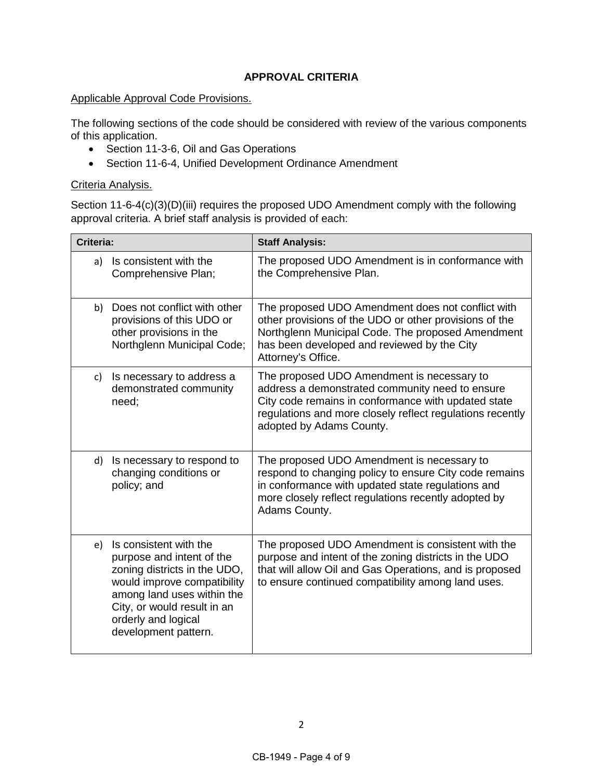# **APPROVAL CRITERIA**

### Applicable Approval Code Provisions.

The following sections of the code should be considered with review of the various components of this application.

- Section 11-3-6, Oil and Gas Operations
- Section 11-6-4, Unified Development Ordinance Amendment

### Criteria Analysis.

Section 11-6-4(c)(3)(D)(iii) requires the proposed UDO Amendment comply with the following approval criteria. A brief staff analysis is provided of each:

| Criteria: |                                                                                                                                                                                                                                | <b>Staff Analysis:</b>                                                                                                                                                                                                                        |
|-----------|--------------------------------------------------------------------------------------------------------------------------------------------------------------------------------------------------------------------------------|-----------------------------------------------------------------------------------------------------------------------------------------------------------------------------------------------------------------------------------------------|
| a)        | Is consistent with the<br>Comprehensive Plan;                                                                                                                                                                                  | The proposed UDO Amendment is in conformance with<br>the Comprehensive Plan.                                                                                                                                                                  |
| b)        | Does not conflict with other<br>provisions of this UDO or<br>other provisions in the<br>Northglenn Municipal Code;                                                                                                             | The proposed UDO Amendment does not conflict with<br>other provisions of the UDO or other provisions of the<br>Northglenn Municipal Code. The proposed Amendment<br>has been developed and reviewed by the City<br>Attorney's Office.         |
| C)        | Is necessary to address a<br>demonstrated community<br>need;                                                                                                                                                                   | The proposed UDO Amendment is necessary to<br>address a demonstrated community need to ensure<br>City code remains in conformance with updated state<br>regulations and more closely reflect regulations recently<br>adopted by Adams County. |
| d)        | Is necessary to respond to<br>changing conditions or<br>policy; and                                                                                                                                                            | The proposed UDO Amendment is necessary to<br>respond to changing policy to ensure City code remains<br>in conformance with updated state regulations and<br>more closely reflect regulations recently adopted by<br>Adams County.            |
| e)        | Is consistent with the<br>purpose and intent of the<br>zoning districts in the UDO,<br>would improve compatibility<br>among land uses within the<br>City, or would result in an<br>orderly and logical<br>development pattern. | The proposed UDO Amendment is consistent with the<br>purpose and intent of the zoning districts in the UDO<br>that will allow Oil and Gas Operations, and is proposed<br>to ensure continued compatibility among land uses.                   |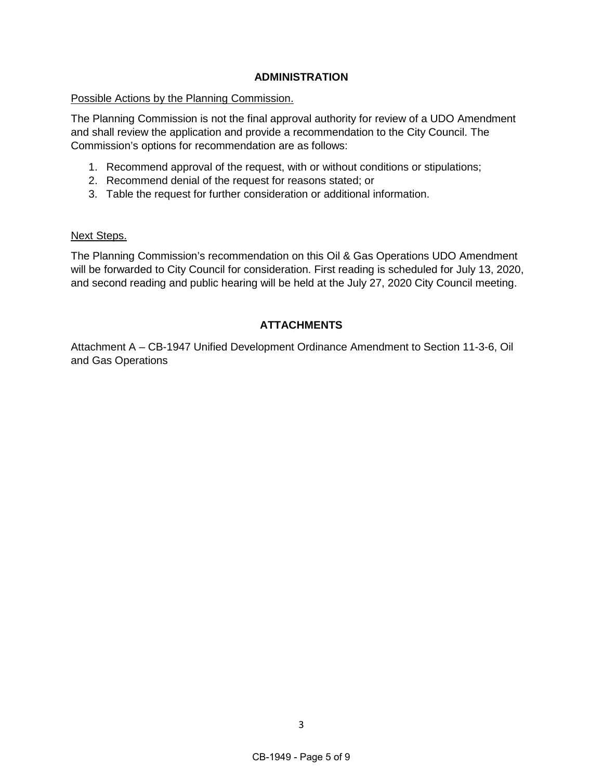## **ADMINISTRATION**

#### Possible Actions by the Planning Commission.

The Planning Commission is not the final approval authority for review of a UDO Amendment and shall review the application and provide a recommendation to the City Council. The Commission's options for recommendation are as follows:

- 1. Recommend approval of the request, with or without conditions or stipulations;
- 2. Recommend denial of the request for reasons stated; or
- 3. Table the request for further consideration or additional information.

#### Next Steps.

The Planning Commission's recommendation on this Oil & Gas Operations UDO Amendment will be forwarded to City Council for consideration. First reading is scheduled for July 13, 2020, and second reading and public hearing will be held at the July 27, 2020 City Council meeting.

# **ATTACHMENTS**

Attachment A – CB-1947 Unified Development Ordinance Amendment to Section 11-3-6, Oil and Gas Operations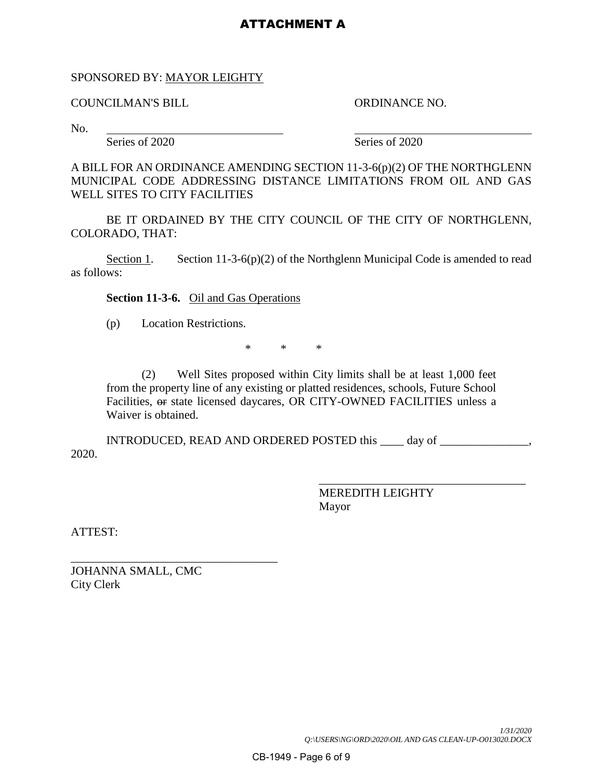# ATTACHMENT A

#### SPONSORED BY: MAYOR LEIGHTY

COUNCILMAN'S BILL ORDINANCE NO.

No.

Series of 2020 Series of 2020

A BILL FOR AN ORDINANCE AMENDING SECTION 11-3-6(p)(2) OF THE NORTHGLENN MUNICIPAL CODE ADDRESSING DISTANCE LIMITATIONS FROM OIL AND GAS WELL SITES TO CITY FACILITIES

BE IT ORDAINED BY THE CITY COUNCIL OF THE CITY OF NORTHGLENN, COLORADO, THAT:

Section 1. Section 11-3-6(p)(2) of the Northglenn Municipal Code is amended to read as follows:

**Section 11-3-6.** Oil and Gas Operations

(p) Location Restrictions.

\* \* \*

(2) Well Sites proposed within City limits shall be at least 1,000 feet from the property line of any existing or platted residences, schools, Future School Facilities,  $\Theta$  state licensed daycares, OR CITY-OWNED FACILITIES unless a Waiver is obtained.

INTRODUCED, READ AND ORDERED POSTED this \_\_\_\_ day of \_\_\_\_\_\_\_\_\_\_\_\_\_\_\_, 2020.

> MEREDITH LEIGHTY Mayor

\_\_\_\_\_\_\_\_\_\_\_\_\_\_\_\_\_\_\_\_\_\_\_\_\_\_\_\_\_\_\_\_\_\_\_

ATTEST:

\_\_\_\_\_\_\_\_\_\_\_\_\_\_\_\_\_\_\_\_\_\_\_\_\_\_\_\_\_\_\_\_\_\_\_ JOHANNA SMALL, CMC City Clerk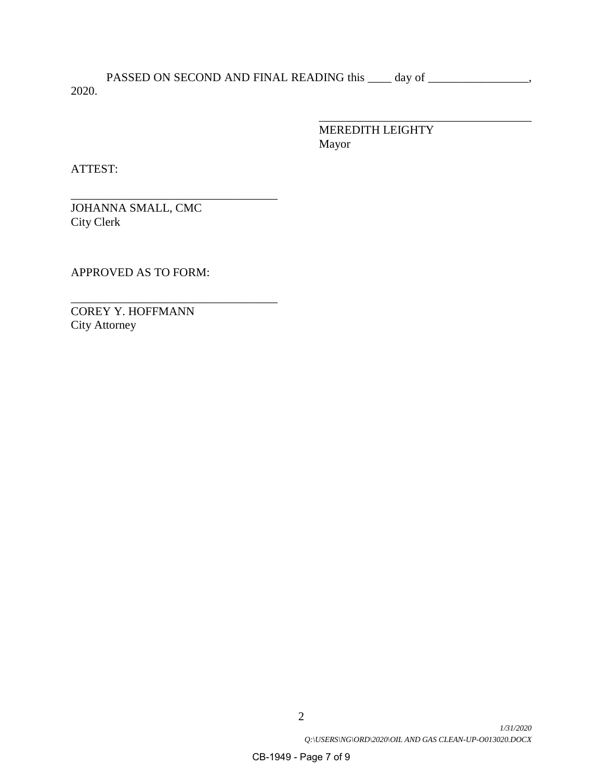PASSED ON SECOND AND FINAL READING this \_\_\_\_ day of \_\_\_\_\_\_\_\_\_\_\_\_\_\_\_\_\_, 2020.

> \_\_\_\_\_\_\_\_\_\_\_\_\_\_\_\_\_\_\_\_\_\_\_\_\_\_\_\_\_\_\_\_\_\_\_\_ MEREDITH LEIGHTY Mayor

ATTEST:

\_\_\_\_\_\_\_\_\_\_\_\_\_\_\_\_\_\_\_\_\_\_\_\_\_\_\_\_\_\_\_\_\_\_\_ JOHANNA SMALL, CMC City Clerk

APPROVED AS TO FORM:

\_\_\_\_\_\_\_\_\_\_\_\_\_\_\_\_\_\_\_\_\_\_\_\_\_\_\_\_\_\_\_\_\_\_\_

COREY Y. HOFFMANN City Attorney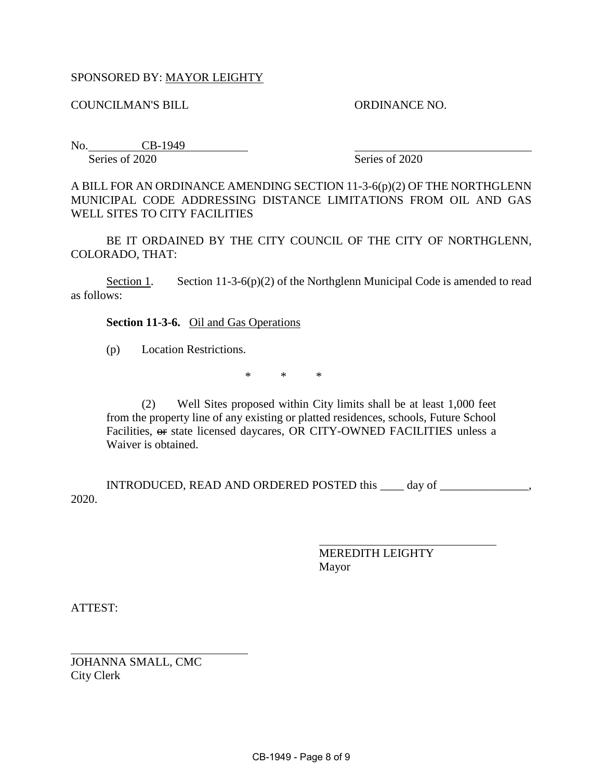# SPONSORED BY: MAYOR LEIGHTY

COUNCILMAN'S BILL ORDINANCE NO.

No. CB-1949 Series of 2020 Series of 2020

A BILL FOR AN ORDINANCE AMENDING SECTION 11-3-6(p)(2) OF THE NORTHGLENN MUNICIPAL CODE ADDRESSING DISTANCE LIMITATIONS FROM OIL AND GAS WELL SITES TO CITY FACILITIES

BE IT ORDAINED BY THE CITY COUNCIL OF THE CITY OF NORTHGLENN, COLORADO, THAT:

Section 1. Section 11-3-6(p)(2) of the Northglenn Municipal Code is amended to read as follows:

### **Section 11-3-6.** Oil and Gas Operations

(p) Location Restrictions.

\* \* \*

(2) Well Sites proposed within City limits shall be at least 1,000 feet from the property line of any existing or platted residences, schools, Future School Facilities, or state licensed daycares, OR CITY-OWNED FACILITIES unless a Waiver is obtained.

INTRODUCED, READ AND ORDERED POSTED this \_\_\_\_ day of \_\_\_\_\_\_\_\_\_\_\_\_\_\_\_, 2020.

> $\overline{a}$ MEREDITH LEIGHTY Mayor

ATTEST:

 $\overline{a}$ 

JOHANNA SMALL, CMC City Clerk